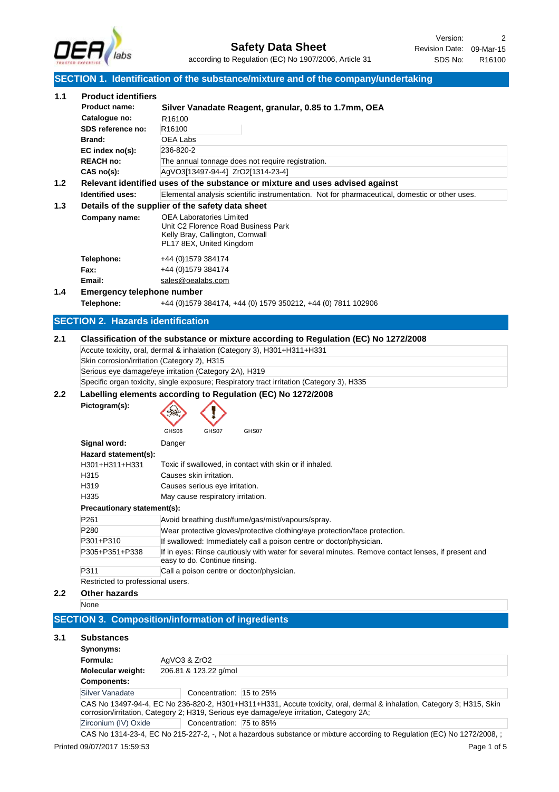

Revision Date: 09-Mar-15 Version: 2 SDS No: R16100

### **SECTION 1. Identification of the substance/mixture and of the company/undertaking**

|     |                                              | <b>SECTION 1. Identification of the substance/mixture and of the company/undertaking</b>                                                                                                                                      |
|-----|----------------------------------------------|-------------------------------------------------------------------------------------------------------------------------------------------------------------------------------------------------------------------------------|
| 1.1 | <b>Product identifiers</b>                   |                                                                                                                                                                                                                               |
|     | <b>Product name:</b>                         | Silver Vanadate Reagent, granular, 0.85 to 1.7mm, OEA                                                                                                                                                                         |
|     | Catalogue no:                                | R <sub>16100</sub>                                                                                                                                                                                                            |
|     | SDS reference no:                            | R <sub>16100</sub>                                                                                                                                                                                                            |
|     | <b>Brand:</b>                                | OEA Labs                                                                                                                                                                                                                      |
|     | EC index no(s):                              | 236-820-2                                                                                                                                                                                                                     |
|     | <b>REACH no:</b>                             | The annual tonnage does not require registration.                                                                                                                                                                             |
|     | CAS no(s):                                   | AgVO3[13497-94-4] ZrO2[1314-23-4]                                                                                                                                                                                             |
| 1.2 |                                              | Relevant identified uses of the substance or mixture and uses advised against                                                                                                                                                 |
|     | <b>Identified uses:</b>                      | Elemental analysis scientific instrumentation. Not for pharmaceutical, domestic or other uses.                                                                                                                                |
| 1.3 |                                              | Details of the supplier of the safety data sheet                                                                                                                                                                              |
|     | Company name:                                | <b>OEA Laboratories Limited</b><br>Unit C2 Florence Road Business Park<br>Kelly Bray, Callington, Cornwall<br>PL17 8EX, United Kingdom                                                                                        |
|     | Telephone:                                   | +44 (0) 1579 384174                                                                                                                                                                                                           |
|     | Fax:                                         | +44 (0)1579 384174                                                                                                                                                                                                            |
|     | Email:                                       | sales@oealabs.com                                                                                                                                                                                                             |
| 1.4 | <b>Emergency telephone number</b>            |                                                                                                                                                                                                                               |
|     | Telephone:                                   | +44 (0) 1579 384174, +44 (0) 1579 350212, +44 (0) 7811 102906                                                                                                                                                                 |
|     | <b>SECTION 2. Hazards identification</b>     |                                                                                                                                                                                                                               |
|     | Skin corrosion/irritation (Category 2), H315 | Accute toxicity, oral, dermal & inhalation (Category 3), H301+H311+H331<br>Serious eye damage/eye irritation (Category 2A), H319<br>Specific organ toxicity, single exposure; Respiratory tract irritation (Category 3), H335 |
| 2.2 |                                              | Labelling elements according to Regulation (EC) No 1272/2008                                                                                                                                                                  |
|     | Pictogram(s):                                | GHS06<br>GHS07<br>GHS07                                                                                                                                                                                                       |
|     | Signal word:                                 | Danger                                                                                                                                                                                                                        |
|     | Hazard statement(s):                         |                                                                                                                                                                                                                               |
|     | H301+H311+H331                               | Toxic if swallowed, in contact with skin or if inhaled.                                                                                                                                                                       |
|     | H315                                         | Causes skin irritation.                                                                                                                                                                                                       |
|     | H319                                         | Causes serious eye irritation.                                                                                                                                                                                                |
|     | H335                                         | May cause respiratory irritation.                                                                                                                                                                                             |
|     | Precautionary statement(s):                  |                                                                                                                                                                                                                               |
|     | P261                                         | Avoid breathing dust/fume/gas/mist/vapours/spray.                                                                                                                                                                             |
|     | P280                                         | Wear protective gloves/protective clothing/eye protection/face protection.                                                                                                                                                    |
|     | P301+P310                                    | If swallowed: Immediately call a poison centre or doctor/physician.                                                                                                                                                           |
|     | P305+P351+P338                               | If in eyes: Rinse cautiously with water for several minutes. Remove contact lenses, if present and<br>easy to do. Continue rinsing.                                                                                           |
|     | P311                                         | Call a poison centre or doctor/physician.                                                                                                                                                                                     |
|     | Restricted to professional users.            |                                                                                                                                                                                                                               |
| 2.2 | <b>Other hazards</b>                         |                                                                                                                                                                                                                               |
|     | None                                         |                                                                                                                                                                                                                               |
|     |                                              | <b>SECTION 3. Composition/information of ingredients</b>                                                                                                                                                                      |
| 3.1 | <b>Substances</b>                            |                                                                                                                                                                                                                               |
|     | Synonyms:                                    |                                                                                                                                                                                                                               |
|     | Formula:                                     | AgVO3 & ZrO2                                                                                                                                                                                                                  |
|     | Molecular weight:                            | 206.81 & 123.22 g/mol                                                                                                                                                                                                         |
|     | <b>Components:</b>                           |                                                                                                                                                                                                                               |

Silver Vanadate **Concentration:** 15 to 25%

CAS No 13497-94-4, EC No 236-820-2, H301+H311+H331, Accute toxicity, oral, dermal & inhalation, Category 3; H315, Skin corrosion/irritation, Category 2; H319, Serious eye damage/eye irritation, Category 2A; Zirconium (IV) Oxide Concentration: 75 to 85%

CAS No 1314-23-4, EC No 215-227-2, -, Not a hazardous substance or mixture according to Regulation (EC) No 1272/2008, ;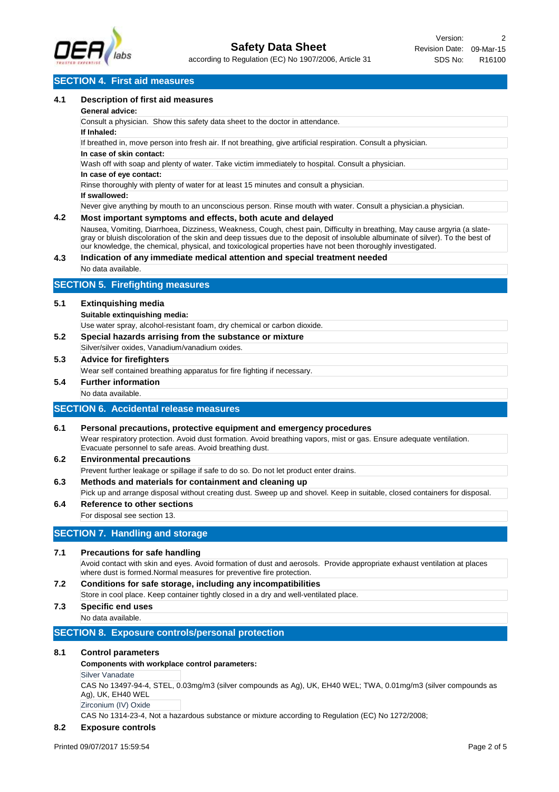

### **SECTION 4. First aid measures**

#### **4.1 Description of first aid measures**

#### **General advice:**

Consult a physician. Show this safety data sheet to the doctor in attendance.

#### **If Inhaled:**

If breathed in, move person into fresh air. If not breathing, give artificial respiration. Consult a physician.

#### **In case of skin contact:**

Wash off with soap and plenty of water. Take victim immediately to hospital. Consult a physician.

#### **In case of eye contact:**

Rinse thoroughly with plenty of water for at least 15 minutes and consult a physician.

**If swallowed:**

Never give anything by mouth to an unconscious person. Rinse mouth with water. Consult a physician.a physician.

#### **4.2 Most important symptoms and effects, both acute and delayed**

Nausea, Vomiting, Diarrhoea, Dizziness, Weakness, Cough, chest pain, Difficulty in breathing, May cause argyria (a slategray or bluish discoloration of the skin and deep tissues due to the deposit of insoluble albuminate of silver). To the best of our knowledge, the chemical, physical, and toxicological properties have not been thoroughly investigated.

#### **4.3 Indication of any immediate medical attention and special treatment needed**

No data available.

### **SECTION 5. Firefighting measures**

#### **5.1 Extinquishing media**

#### **Suitable extinquishing media:**

Use water spray, alcohol-resistant foam, dry chemical or carbon dioxide.

**5.2 Special hazards arrising from the substance or mixture** Silver/silver oxides, Vanadium/vanadium oxides.

### **5.3 Advice for firefighters**

Wear self contained breathing apparatus for fire fighting if necessary.

#### **5.4 Further information**

No data available.

### **SECTION 6. Accidental release measures**

- **6.1 Personal precautions, protective equipment and emergency procedures** Wear respiratory protection. Avoid dust formation. Avoid breathing vapors, mist or gas. Ensure adequate ventilation. Evacuate personnel to safe areas. Avoid breathing dust.
- **6.2 Environmental precautions** Prevent further leakage or spillage if safe to do so. Do not let product enter drains.
- **6.3 Methods and materials for containment and cleaning up**
- Pick up and arrange disposal without creating dust. Sweep up and shovel. Keep in suitable, closed containers for disposal. **6.4 Reference to other sections**

### For disposal see section 13.

### **SECTION 7. Handling and storage**

#### **7.1 Precautions for safe handling**

Avoid contact with skin and eyes. Avoid formation of dust and aerosols. Provide appropriate exhaust ventilation at places where dust is formed.Normal measures for preventive fire protection.

**7.2 Conditions for safe storage, including any incompatibilities** Store in cool place. Keep container tightly closed in a dry and well-ventilated place.

# **7.3 Specific end uses**

No data available.

### **SECTION 8. Exposure controls/personal protection**

### **8.1 Control parameters**

#### **Components with workplace control parameters:**

Silver Vanadate

CAS No 13497-94-4, STEL, 0.03mg/m3 (silver compounds as Ag), UK, EH40 WEL; TWA, 0.01mg/m3 (silver compounds as Ag), UK, EH40 WEL

Zirconium (IV) Oxide

CAS No 1314-23-4, Not a hazardous substance or mixture according to Regulation (EC) No 1272/2008;

### **8.2 Exposure controls**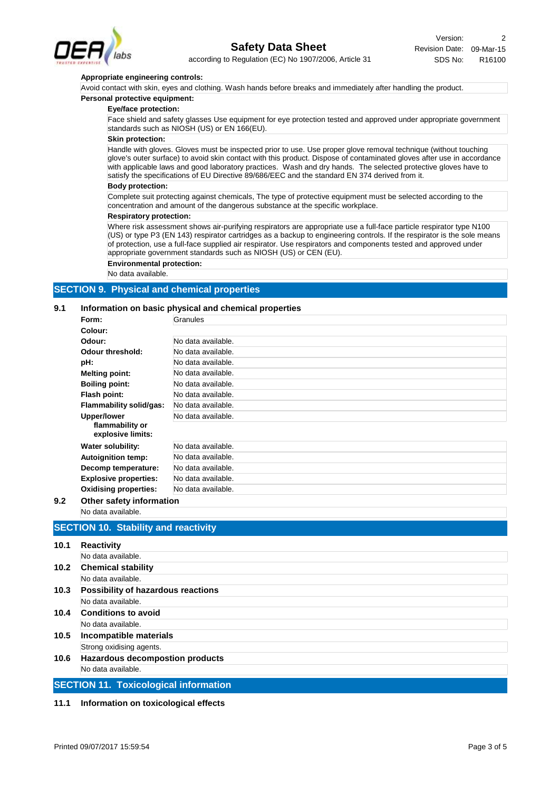

#### **Appropriate engineering controls:**

Avoid contact with skin, eyes and clothing. Wash hands before breaks and immediately after handling the product.

#### **Personal protective equipment:**

#### **Eye/face protection:**

Face shield and safety glasses Use equipment for eye protection tested and approved under appropriate government standards such as NIOSH (US) or EN 166(EU).

#### **Skin protection:**

Handle with gloves. Gloves must be inspected prior to use. Use proper glove removal technique (without touching glove's outer surface) to avoid skin contact with this product. Dispose of contaminated gloves after use in accordance with applicable laws and good laboratory practices. Wash and dry hands. The selected protective gloves have to satisfy the specifications of EU Directive 89/686/EEC and the standard EN 374 derived from it.

#### **Body protection:**

Complete suit protecting against chemicals, The type of protective equipment must be selected according to the concentration and amount of the dangerous substance at the specific workplace.

#### **Respiratory protection:**

Where risk assessment shows air-purifying respirators are appropriate use a full-face particle respirator type N100 (US) or type P3 (EN 143) respirator cartridges as a backup to engineering controls. If the respirator is the sole means of protection, use a full-face supplied air respirator. Use respirators and components tested and approved under appropriate government standards such as NIOSH (US) or CEN (EU).

**Environmental protection:**

No data available.

### **SECTION 9. Physical and chemical properties**

#### **9.1 Information on basic physical and chemical properties**

| Form:                                | Granules           |
|--------------------------------------|--------------------|
| Colour:                              |                    |
| Odour:                               | No data available. |
| Odour threshold:                     | No data available. |
| pH:                                  | No data available. |
| <b>Melting point:</b>                | No data available. |
| <b>Boiling point:</b>                | No data available. |
| Flash point:                         | No data available. |
| <b>Flammability solid/gas:</b>       | No data available. |
| <b>Upper/lower</b>                   | No data available. |
| flammability or<br>explosive limits: |                    |
| Water solubility:                    | No data available. |
| <b>Autoignition temp:</b>            | No data available. |
| Decomp temperature:                  | No data available. |
| <b>Explosive properties:</b>         | No data available. |
| <b>Oxidising properties:</b>         | No data available. |

# **9.2 Other safety information**

No data available.

#### **SECTION 10. Stability and reactivity**

| 10.1 | <b>Reactivity</b>                            |  |  |
|------|----------------------------------------------|--|--|
|      | No data available.                           |  |  |
| 10.2 | <b>Chemical stability</b>                    |  |  |
|      | No data available.                           |  |  |
| 10.3 | Possibility of hazardous reactions           |  |  |
|      | No data available.                           |  |  |
| 10.4 | <b>Conditions to avoid</b>                   |  |  |
|      | No data available.                           |  |  |
| 10.5 | Incompatible materials                       |  |  |
|      | Strong oxidising agents.                     |  |  |
| 10.6 | <b>Hazardous decompostion products</b>       |  |  |
|      | No data available.                           |  |  |
|      | <b>SECTION 11. Toxicological information</b> |  |  |

**11.1 Information on toxicological effects**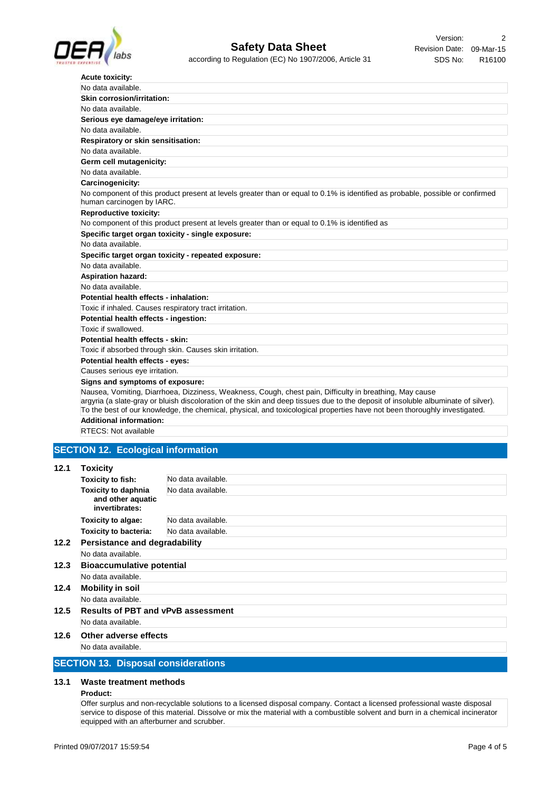

| No data available.<br>Skin corrosion/irritation:<br>No data available.<br>Serious eye damage/eye irritation:<br>No data available.<br>Respiratory or skin sensitisation:<br>No data available.<br>Germ cell mutagenicity:<br>No data available.<br>Carcinogenicity:<br>No component of this product present at levels greater than or equal to 0.1% is identified as probable, possible or confirmed<br>human carcinogen by IARC.<br><b>Reproductive toxicity:</b><br>No component of this product present at levels greater than or equal to 0.1% is identified as<br>Specific target organ toxicity - single exposure:<br>No data available.<br>Specific target organ toxicity - repeated exposure:<br>No data available.<br><b>Aspiration hazard:</b><br>No data available.<br>Potential health effects - inhalation:<br>Toxic if inhaled. Causes respiratory tract irritation.<br>Potential health effects - ingestion:<br>Toxic if swallowed.<br>Potential health effects - skin:<br>Toxic if absorbed through skin. Causes skin irritation.<br>Potential health effects - eyes:<br>Causes serious eye irritation.<br>Signs and symptoms of exposure:<br>Nausea, Vomiting, Diarrhoea, Dizziness, Weakness, Cough, chest pain, Difficulty in breathing, May cause<br>argyria (a slate-gray or bluish discoloration of the skin and deep tissues due to the deposit of insoluble albuminate of silver).<br>To the best of our knowledge, the chemical, physical, and toxicological properties have not been thoroughly investigated.<br>Additional information. | <b>Acute toxicity:</b> |
|--------------------------------------------------------------------------------------------------------------------------------------------------------------------------------------------------------------------------------------------------------------------------------------------------------------------------------------------------------------------------------------------------------------------------------------------------------------------------------------------------------------------------------------------------------------------------------------------------------------------------------------------------------------------------------------------------------------------------------------------------------------------------------------------------------------------------------------------------------------------------------------------------------------------------------------------------------------------------------------------------------------------------------------------------------------------------------------------------------------------------------------------------------------------------------------------------------------------------------------------------------------------------------------------------------------------------------------------------------------------------------------------------------------------------------------------------------------------------------------------------------------------------------------------------------------------|------------------------|
|                                                                                                                                                                                                                                                                                                                                                                                                                                                                                                                                                                                                                                                                                                                                                                                                                                                                                                                                                                                                                                                                                                                                                                                                                                                                                                                                                                                                                                                                                                                                                                    |                        |
|                                                                                                                                                                                                                                                                                                                                                                                                                                                                                                                                                                                                                                                                                                                                                                                                                                                                                                                                                                                                                                                                                                                                                                                                                                                                                                                                                                                                                                                                                                                                                                    |                        |
|                                                                                                                                                                                                                                                                                                                                                                                                                                                                                                                                                                                                                                                                                                                                                                                                                                                                                                                                                                                                                                                                                                                                                                                                                                                                                                                                                                                                                                                                                                                                                                    |                        |
|                                                                                                                                                                                                                                                                                                                                                                                                                                                                                                                                                                                                                                                                                                                                                                                                                                                                                                                                                                                                                                                                                                                                                                                                                                                                                                                                                                                                                                                                                                                                                                    |                        |
|                                                                                                                                                                                                                                                                                                                                                                                                                                                                                                                                                                                                                                                                                                                                                                                                                                                                                                                                                                                                                                                                                                                                                                                                                                                                                                                                                                                                                                                                                                                                                                    |                        |
|                                                                                                                                                                                                                                                                                                                                                                                                                                                                                                                                                                                                                                                                                                                                                                                                                                                                                                                                                                                                                                                                                                                                                                                                                                                                                                                                                                                                                                                                                                                                                                    |                        |
|                                                                                                                                                                                                                                                                                                                                                                                                                                                                                                                                                                                                                                                                                                                                                                                                                                                                                                                                                                                                                                                                                                                                                                                                                                                                                                                                                                                                                                                                                                                                                                    |                        |
|                                                                                                                                                                                                                                                                                                                                                                                                                                                                                                                                                                                                                                                                                                                                                                                                                                                                                                                                                                                                                                                                                                                                                                                                                                                                                                                                                                                                                                                                                                                                                                    |                        |
|                                                                                                                                                                                                                                                                                                                                                                                                                                                                                                                                                                                                                                                                                                                                                                                                                                                                                                                                                                                                                                                                                                                                                                                                                                                                                                                                                                                                                                                                                                                                                                    |                        |
|                                                                                                                                                                                                                                                                                                                                                                                                                                                                                                                                                                                                                                                                                                                                                                                                                                                                                                                                                                                                                                                                                                                                                                                                                                                                                                                                                                                                                                                                                                                                                                    |                        |
|                                                                                                                                                                                                                                                                                                                                                                                                                                                                                                                                                                                                                                                                                                                                                                                                                                                                                                                                                                                                                                                                                                                                                                                                                                                                                                                                                                                                                                                                                                                                                                    |                        |
|                                                                                                                                                                                                                                                                                                                                                                                                                                                                                                                                                                                                                                                                                                                                                                                                                                                                                                                                                                                                                                                                                                                                                                                                                                                                                                                                                                                                                                                                                                                                                                    |                        |
|                                                                                                                                                                                                                                                                                                                                                                                                                                                                                                                                                                                                                                                                                                                                                                                                                                                                                                                                                                                                                                                                                                                                                                                                                                                                                                                                                                                                                                                                                                                                                                    |                        |
|                                                                                                                                                                                                                                                                                                                                                                                                                                                                                                                                                                                                                                                                                                                                                                                                                                                                                                                                                                                                                                                                                                                                                                                                                                                                                                                                                                                                                                                                                                                                                                    |                        |
|                                                                                                                                                                                                                                                                                                                                                                                                                                                                                                                                                                                                                                                                                                                                                                                                                                                                                                                                                                                                                                                                                                                                                                                                                                                                                                                                                                                                                                                                                                                                                                    |                        |
|                                                                                                                                                                                                                                                                                                                                                                                                                                                                                                                                                                                                                                                                                                                                                                                                                                                                                                                                                                                                                                                                                                                                                                                                                                                                                                                                                                                                                                                                                                                                                                    |                        |
|                                                                                                                                                                                                                                                                                                                                                                                                                                                                                                                                                                                                                                                                                                                                                                                                                                                                                                                                                                                                                                                                                                                                                                                                                                                                                                                                                                                                                                                                                                                                                                    |                        |
|                                                                                                                                                                                                                                                                                                                                                                                                                                                                                                                                                                                                                                                                                                                                                                                                                                                                                                                                                                                                                                                                                                                                                                                                                                                                                                                                                                                                                                                                                                                                                                    |                        |
|                                                                                                                                                                                                                                                                                                                                                                                                                                                                                                                                                                                                                                                                                                                                                                                                                                                                                                                                                                                                                                                                                                                                                                                                                                                                                                                                                                                                                                                                                                                                                                    |                        |
|                                                                                                                                                                                                                                                                                                                                                                                                                                                                                                                                                                                                                                                                                                                                                                                                                                                                                                                                                                                                                                                                                                                                                                                                                                                                                                                                                                                                                                                                                                                                                                    |                        |
|                                                                                                                                                                                                                                                                                                                                                                                                                                                                                                                                                                                                                                                                                                                                                                                                                                                                                                                                                                                                                                                                                                                                                                                                                                                                                                                                                                                                                                                                                                                                                                    |                        |
|                                                                                                                                                                                                                                                                                                                                                                                                                                                                                                                                                                                                                                                                                                                                                                                                                                                                                                                                                                                                                                                                                                                                                                                                                                                                                                                                                                                                                                                                                                                                                                    |                        |
|                                                                                                                                                                                                                                                                                                                                                                                                                                                                                                                                                                                                                                                                                                                                                                                                                                                                                                                                                                                                                                                                                                                                                                                                                                                                                                                                                                                                                                                                                                                                                                    |                        |
|                                                                                                                                                                                                                                                                                                                                                                                                                                                                                                                                                                                                                                                                                                                                                                                                                                                                                                                                                                                                                                                                                                                                                                                                                                                                                                                                                                                                                                                                                                                                                                    |                        |
|                                                                                                                                                                                                                                                                                                                                                                                                                                                                                                                                                                                                                                                                                                                                                                                                                                                                                                                                                                                                                                                                                                                                                                                                                                                                                                                                                                                                                                                                                                                                                                    |                        |
|                                                                                                                                                                                                                                                                                                                                                                                                                                                                                                                                                                                                                                                                                                                                                                                                                                                                                                                                                                                                                                                                                                                                                                                                                                                                                                                                                                                                                                                                                                                                                                    |                        |
|                                                                                                                                                                                                                                                                                                                                                                                                                                                                                                                                                                                                                                                                                                                                                                                                                                                                                                                                                                                                                                                                                                                                                                                                                                                                                                                                                                                                                                                                                                                                                                    |                        |
|                                                                                                                                                                                                                                                                                                                                                                                                                                                                                                                                                                                                                                                                                                                                                                                                                                                                                                                                                                                                                                                                                                                                                                                                                                                                                                                                                                                                                                                                                                                                                                    |                        |
|                                                                                                                                                                                                                                                                                                                                                                                                                                                                                                                                                                                                                                                                                                                                                                                                                                                                                                                                                                                                                                                                                                                                                                                                                                                                                                                                                                                                                                                                                                                                                                    |                        |

**Additional information:**

# RTECS: Not available

## **SECTION 12. Ecological information**

#### **12.1 Toxicity**

|      | <b>Toxicity to fish:</b>                  | No data available. |  |
|------|-------------------------------------------|--------------------|--|
|      | <b>Toxicity to daphnia</b>                | No data available. |  |
|      | and other aquatic<br>invertibrates:       |                    |  |
|      | <b>Toxicity to algae:</b>                 | No data available. |  |
|      | <b>Toxicity to bacteria:</b>              | No data available. |  |
| 12.2 | <b>Persistance and degradability</b>      |                    |  |
|      | No data available.                        |                    |  |
| 12.3 | <b>Bioaccumulative potential</b>          |                    |  |
|      | No data available.                        |                    |  |
| 12.4 | <b>Mobility in soil</b>                   |                    |  |
|      | No data available.                        |                    |  |
| 12.5 | <b>Results of PBT and vPvB assessment</b> |                    |  |
|      | No data available.                        |                    |  |
| 12.6 | Other adverse effects                     |                    |  |
|      | No data available.                        |                    |  |
|      |                                           |                    |  |

### **SECTION 13. Disposal considerations**

#### **13.1 Waste treatment methods**

#### **Product:**

Offer surplus and non-recyclable solutions to a licensed disposal company. Contact a licensed professional waste disposal service to dispose of this material. Dissolve or mix the material with a combustible solvent and burn in a chemical incinerator equipped with an afterburner and scrubber.